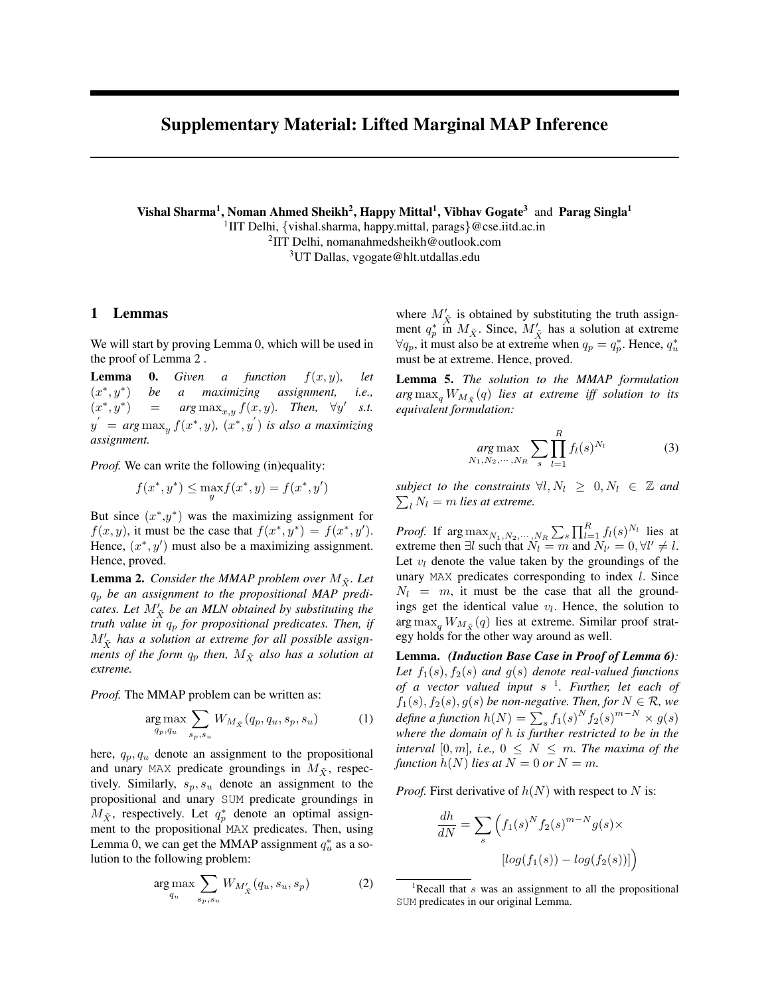## Supplementary Material: Lifted Marginal MAP Inference

Vishal Sharma<sup>1</sup>, Noman Ahmed Sheikh<sup>2</sup>, Happy Mittal<sup>1</sup>, Vibhav Gogate<sup>3</sup> and Parag Singla<sup>1</sup>

<sup>1</sup>IIT Delhi, {vishal.sharma, happy.mittal, parags}@cse.iitd.ac.in 2 IIT Delhi, nomanahmedsheikh@outlook.com

<sup>3</sup>UT Dallas, vgogate@hlt.utdallas.edu

## 1 Lemmas

We will start by proving Lemma 0, which will be used in the proof of Lemma 2 .

**Lemma 0.** *Given a function*  $f(x, y)$ , *let*  $(x^*, y^*)$ ) *be a maximizing assignment, i.e.,*  $(x^*, y^*)$  $)$  =  $arg \max_{x,y} f(x,y)$ *. Then,*  $\forall y'$  *s.t.*  $y^{'} = arg \max_{y} f(x^{*}, y), (x^{*}, y^{'})$  *is also a maximizing assignment.*

*Proof.* We can write the following (in)equality:

$$
f(x^*, y^*) \le \max_{y} f(x^*, y) = f(x^*, y')
$$

But since  $(x^*, y^*)$  was the maximizing assignment for  $f(x, y)$ , it must be the case that  $f(x^*, y^*) = f(x^*, y')$ . Hence,  $(x^*, y')$  must also be a maximizing assignment. Hence, proved.

**Lemma 2.** *Consider the MMAP problem over*  $M_{\tilde{X}}$ *. Let* q<sup>p</sup> *be an assignment to the propositional MAP predicates. Let*  $M'_{\tilde{X}}$  *be an MLN obtained by substituting the truth value in*  $q_p$  *for propositional predicates. Then, if*  $M'_{\tilde{X}}$  has a solution at extreme for all possible assign*ments of the form*  $q_p$  *then,*  $M_{\tilde{X}}$  *also has a solution at extreme.*

*Proof.* The MMAP problem can be written as:

$$
\underset{q_p, q_u}{\arg \max} \sum_{s_p, s_u} W_{M_{\tilde{X}}}(q_p, q_u, s_p, s_u) \tag{1}
$$

here,  $q_p, q_u$  denote an assignment to the propositional and unary MAX predicate groundings in  $M_{\tilde{X}}$ , respectively. Similarly,  $s_p, s_u$  denote an assignment to the propositional and unary SUM predicate groundings in  $M_{\tilde{X}}$ , respectively. Let  $q_p^*$  denote an optimal assignment to the propositional MAX predicates. Then, using Lemma 0, we can get the MMAP assignment  $q_u^*$  as a solution to the following problem:

$$
\underset{q_u}{\arg\max} \sum_{s_p, s_u} W_{M'_{\tilde{X}}}(q_u, s_u, s_p) \tag{2}
$$

where  $M'_{\tilde{X}}$  is obtained by substituting the truth assignment  $q_p^*$  in  $M_{\tilde{X}}$ . Since,  $M'_{\tilde{X}}$  has a solution at extreme  $\forall q_p$ , it must also be at extreme when  $q_p = q_p^*$ . Hence,  $q_u^*$ must be at extreme. Hence, proved.

Lemma 5. *The solution to the MMAP formulation*  $\argmax_{q} W_{M_{\tilde X}}(q)$  lies at extreme iff solution to its *equivalent formulation:*

$$
\underset{N_1, N_2, \cdots, N_R}{\arg \max} \sum_{s} \prod_{l=1}^{R} f_l(s)^{N_l} \tag{3}
$$

*subject to the constraints*  $\forall l, N_l \geq 0, N_l \in \mathbb{Z}$  and  $\sum_l N_l = m$  *lies at extreme.* 

*Proof.* If  $\arg \max_{N_1, N_2, \dots, N_R} \sum_s \prod_{l=1}^R f_l(s)^{N_l}$  lies at extreme then  $\exists l$  such that  $N_l = m$  and  $N_{l'} = 0, \forall l' \neq l$ . Let  $v_l$  denote the value taken by the groundings of the unary MAX predicates corresponding to index  $l$ . Since  $N_l = m$ , it must be the case that all the groundings get the identical value  $v_l$ . Hence, the solution to arg  $\max_{q} W_{M_{\tilde{X}}}(q)$  lies at extreme. Similar proof strategy holds for the other way around as well.

Lemma. *(Induction Base Case in Proof of Lemma 6):* Let  $f_1(s)$ ,  $f_2(s)$  *and*  $g(s)$  *denote real-valued functions of a vector valued input* s 1 *. Further, let each of*  $f_1(s), f_2(s), g(s)$  *be non-negative. Then, for*  $N \in \mathcal{R}$ *, we define a function*  $h(N) = \sum_{s} f_1(s)^N f_2(s)^{m-N} \times g(s)$ *where the domain of* h *is further restricted to be in the interval* [0, m], *i.e.*,  $0 \leq N \leq m$ *. The maxima of the function*  $h(N)$  *lies at*  $N = 0$  *or*  $N = m$ *.* 

*Proof.* First derivative of  $h(N)$  with respect to N is:

$$
\frac{dh}{dN} = \sum_{s} \left( f_1(s)^N f_2(s)^{m-N} g(s) \times \left[ \log(f_1(s)) - \log(f_2(s)) \right] \right)
$$

Recall that s was an assignment to all the propositional SUM predicates in our original Lemma.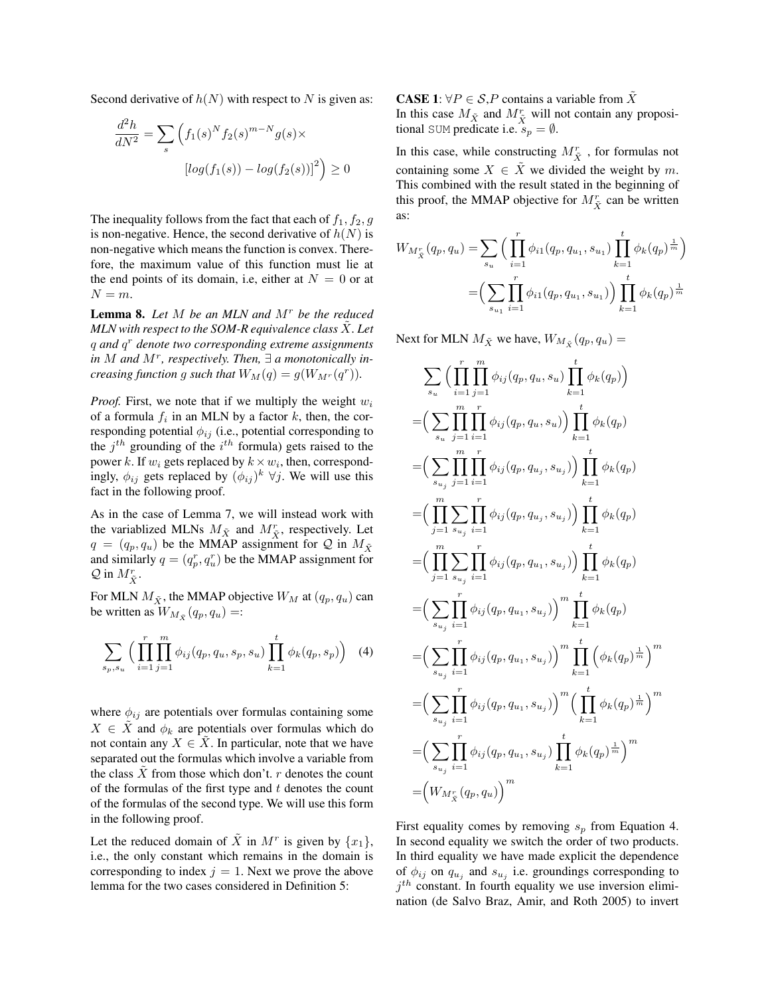Second derivative of  $h(N)$  with respect to N is given as:

$$
\frac{d^2h}{dN^2} = \sum_{s} \left( f_1(s)^N f_2(s)^{m-N} g(s) \times \left[ \log(f_1(s)) - \log(f_2(s)) \right]^2 \right) \ge 0
$$

The inequality follows from the fact that each of  $f_1, f_2, g$ is non-negative. Hence, the second derivative of  $h(N)$  is non-negative which means the function is convex. Therefore, the maximum value of this function must lie at the end points of its domain, i.e, either at  $N = 0$  or at  $N = m$ .

Lemma 8. *Let* M *be an MLN and* M<sup>r</sup> *be the reduced MLN with respect to the SOM-R equivalence class X. Let* q *and* q <sup>r</sup> *denote two corresponding extreme assignments*  $\lim M$  *and*  $M^r$ , respectively. Then,  $\exists$  *a* monotonically in*creasing function g such that*  $W_M(q) = g(W_{M^r}(q^r))$ *.* 

*Proof.* First, we note that if we multiply the weight  $w_i$ of a formula  $f_i$  in an MLN by a factor k, then, the corresponding potential  $\phi_{ij}$  (i.e., potential corresponding to the  $j<sup>th</sup>$  grounding of the  $i<sup>th</sup>$  formula) gets raised to the power k. If  $w_i$  gets replaced by  $k \times w_i$ , then, correspondingly,  $\phi_{ij}$  gets replaced by  $(\phi_{ij})^k$   $\forall j$ . We will use this fact in the following proof.

As in the case of Lemma 7, we will instead work with the variablized MLNs  $M_{\tilde{X}}$  and  $M_{\tilde{X}}^r$ , respectively. Let  $q = (q_p, q_u)$  be the MMAP assignment for Q in  $M_{\tilde{X}}$ and similarly  $q = (q_p^r, q_u^r)$  be the MMAP assignment for  $\mathcal Q$  in  $M_{\tilde X}^r.$ 

For MLN  $M_{\tilde{X}}$ , the MMAP objective  $W_M$  at  $(q_p, q_u)$  can be written as  $W_{M_{\tilde{X}}}(q_p, q_u) =$ :

$$
\sum_{s_p, s_u} \left( \prod_{i=1}^r \prod_{j=1}^m \phi_{ij}(q_p, q_u, s_p, s_u) \prod_{k=1}^t \phi_k(q_p, s_p) \right) \tag{4}
$$

where  $\phi_{ij}$  are potentials over formulas containing some  $X \in X$  and  $\phi_k$  are potentials over formulas which do not contain any  $X \in X$ . In particular, note that we have separated out the formulas which involve a variable from the class  $X$  from those which don't.  $r$  denotes the count of the formulas of the first type and  $t$  denotes the count of the formulas of the second type. We will use this form in the following proof.

Let the reduced domain of  $\tilde{X}$  in  $M<sup>r</sup>$  is given by  $\{x_1\}$ , i.e., the only constant which remains in the domain is corresponding to index  $j = 1$ . Next we prove the above lemma for the two cases considered in Definition 5:

**CASE 1**:  $\forall P \in \mathcal{S}, P$  contains a variable from  $\tilde{X}$ In this case  $M_{\tilde{X}}$  and  $M_{\tilde{X}}^r$  will not contain any propositional SUM predicate i.e.  $s_p = \emptyset$ .

In this case, while constructing  $M_{\tilde{X}}^r$ , for formulas not containing some  $X \in \overline{X}$  we divided the weight by m. This combined with the result stated in the beginning of this proof, the MMAP objective for  $M_{\tilde{X}}^r$  can be written as:

$$
W_{M_{\tilde{X}}^r}(q_p, q_u) = \sum_{s_u} \Big( \prod_{i=1}^r \phi_{i1}(q_p, q_{u_1}, s_{u_1}) \prod_{k=1}^t \phi_k(q_p)^{\frac{1}{m}} \Big)
$$
  
=  $\Big( \sum_{s_{u_1}} \prod_{i=1}^r \phi_{i1}(q_p, q_{u_1}, s_{u_1}) \Big) \prod_{k=1}^t \phi_k(q_p)^{\frac{1}{m}}$ 

Next for MLN  $M_{\tilde{X}}$  we have,  $W_{M_{\tilde{X}}}(q_p, q_u) =$ 

$$
\sum_{s_u} \Big( \prod_{i=1}^r \prod_{j=1}^m \phi_{ij}(q_p, q_u, s_u) \prod_{k=1}^t \phi_k(q_p) \Big)
$$
  
\n
$$
= \Big( \sum_{s_u} \prod_{j=1}^m \prod_{i=1}^r \phi_{ij}(q_p, q_u, s_u) \Big) \prod_{k=1}^t \phi_k(q_p)
$$
  
\n
$$
= \Big( \sum_{s_{u_j}} \prod_{j=1}^m \prod_{i=1}^r \phi_{ij}(q_p, q_{u_j}, s_{u_j}) \Big) \prod_{k=1}^t \phi_k(q_p)
$$
  
\n
$$
= \Big( \prod_{j=1}^m \sum_{s_{u_j}} \prod_{i=1}^r \phi_{ij}(q_p, q_{u_j}, s_{u_j}) \Big) \prod_{k=1}^t \phi_k(q_p)
$$
  
\n
$$
= \Big( \prod_{j=1}^m \sum_{s_{u_j}} \prod_{i=1}^r \phi_{ij}(q_p, q_{u_1}, s_{u_j}) \Big) \prod_{k=1}^t \phi_k(q_p)
$$
  
\n
$$
= \Big( \sum_{s_{u_j}} \prod_{i=1}^r \phi_{ij}(q_p, q_{u_1}, s_{u_j}) \Big)^m \prod_{k=1}^t \phi_k(q_p)
$$
  
\n
$$
= \Big( \sum_{s_{u_j}} \prod_{i=1}^r \phi_{ij}(q_p, q_{u_1}, s_{u_j}) \Big)^m \prod_{k=1}^t \Big( \phi_k(q_p)^{\frac{1}{m}} \Big)^m
$$
  
\n
$$
= \Big( \sum_{s_{u_j}} \prod_{i=1}^r \phi_{ij}(q_p, q_{u_1}, s_{u_j}) \Big)^m \Big( \prod_{k=1}^t \phi_k(q_p)^{\frac{1}{m}} \Big)^m
$$
  
\n
$$
= \Big( \sum_{s_{u_j}} \prod_{i=1}^r \phi_{ij}(q_p, q_{u_1}, s_{u_j}) \prod_{k=1}^t \phi_k(q_p)^{\frac{1}{m}} \Big)^m
$$
  
\n
$$
= \Big( W_{M_X^r}(q_p, q_u) \Big)^m
$$

First equality comes by removing  $s_p$  from Equation 4. In second equality we switch the order of two products. In third equality we have made explicit the dependence of  $\phi_{ij}$  on  $q_{u_j}$  and  $s_{u_j}$  i.e. groundings corresponding to  $j<sup>th</sup>$  constant. In fourth equality we use inversion elimination (de Salvo Braz, Amir, and Roth 2005) to invert